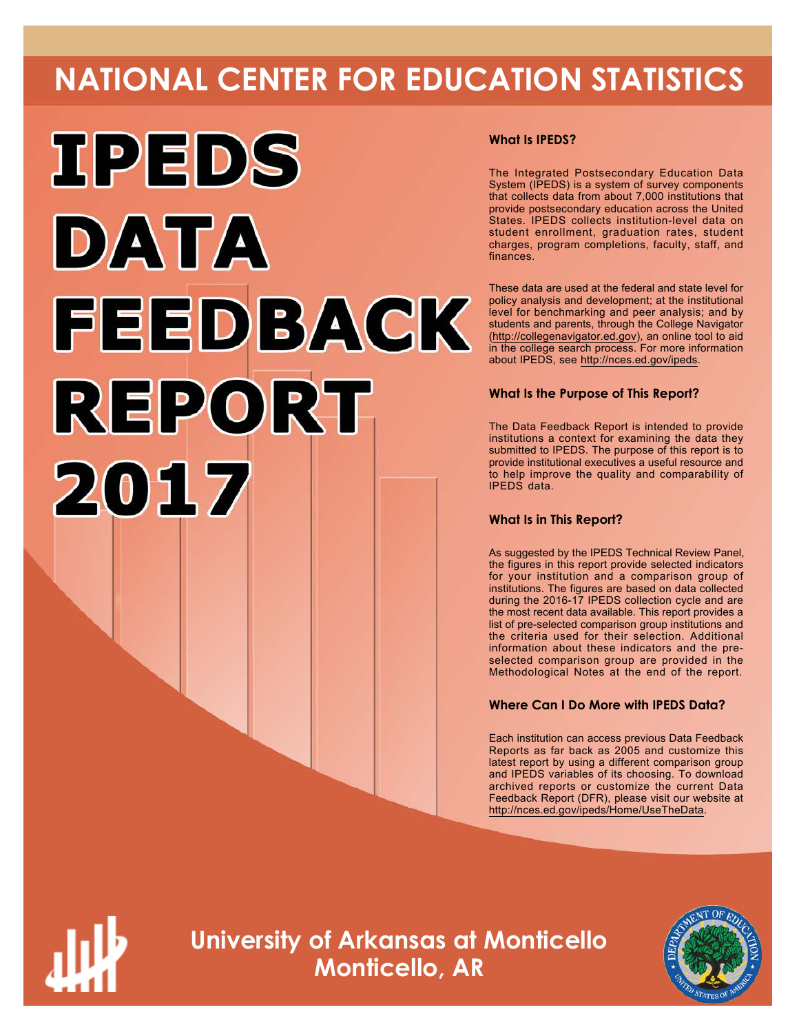# **NATIONAL CENTER FOR EDUCATION STATISTICS**



### **What Is IPEDS?**

The Integrated Postsecondary Education Data System (IPEDS) is a system of survey components that collects data from about 7,000 institutions that provide postsecondary education across the United States. IPEDS collects institution-level data on student enrollment, graduation rates, student charges, program completions, faculty, staff, and finances.

These data are used at the federal and state level for policy analysis and development; at the institutional level for benchmarking and peer analysis; and by students and parents, through the College Navigator ([http://collegenavigator.ed.gov\)](http://collegenavigator.ed.gov), an online tool to aid in the college search process. For more information about IPEDS, see [http://nces.ed.gov/ipeds.](http://nces.ed.gov/ipeds)

### **What Is the Purpose of This Report?**

The Data Feedback Report is intended to provide institutions a context for examining the data they submitted to IPEDS. The purpose of this report is to provide institutional executives a useful resource and to help improve the quality and comparability of IPEDS data.

#### **What Is in This Report?**

As suggested by the IPEDS Technical Review Panel, the figures in this report provide selected indicators for your institution and a comparison group of institutions. The figures are based on data collected during the 2016-17 IPEDS collection cycle and are the most recent data available. This report provides a list of pre-selected comparison group institutions and the criteria used for their selection. Additional information about these indicators and the preselected comparison group are provided in the Methodological Notes at the end of the report.

### **Where Can I Do More with IPEDS Data?**

Each institution can access previous Data Feedback Reports as far back as 2005 and customize this latest report by using a different comparison group and IPEDS variables of its choosing. To download archived reports or customize the current Data Feedback Report (DFR), please visit our website at <http://nces.ed.gov/ipeds/Home/UseTheData>.



**University of Arkansas at Monticello Monticello, AR**

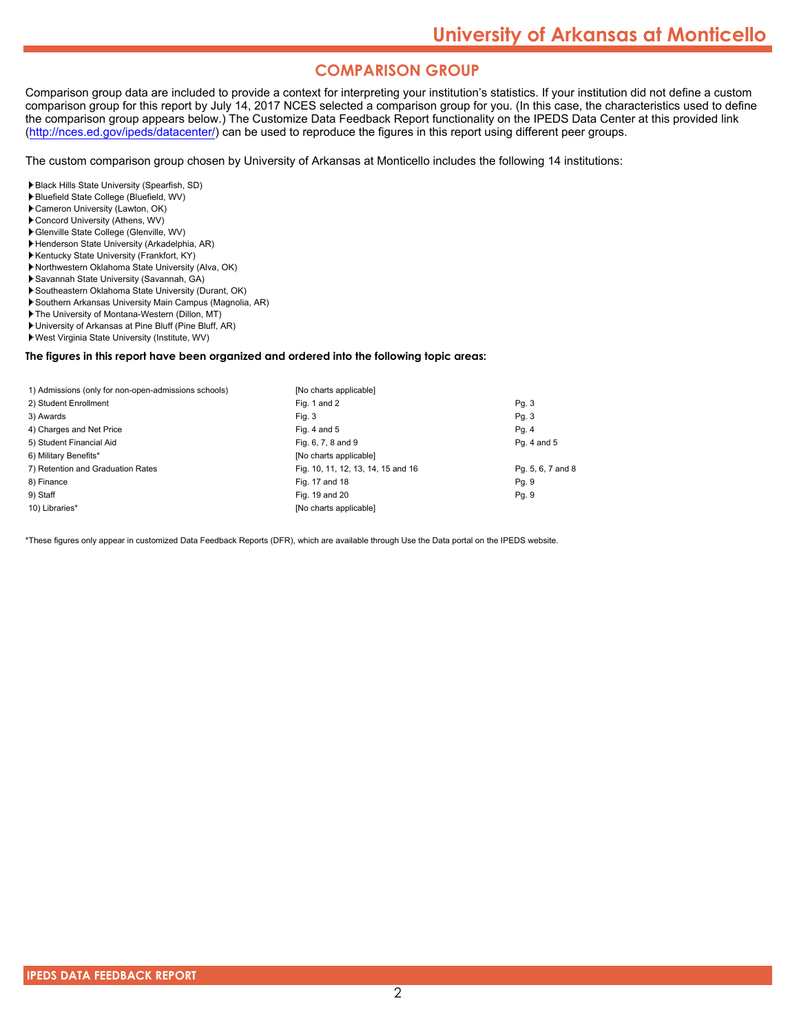## **COMPARISON GROUP**

Comparison group data are included to provide a context for interpreting your institution's statistics. If your institution did not define a custom comparison group for this report by July 14, 2017 NCES selected a comparison group for you. (In this case, the characteristics used to define the comparison group appears below.) The Customize Data Feedback Report functionality on the IPEDS Data Center at this provided link [\(http://nces.ed.gov/ipeds/datacenter/\)](http://nces.ed.gov/ipeds/datacenter/) can be used to reproduce the figures in this report using different peer groups.

The custom comparison group chosen by University of Arkansas at Monticello includes the following 14 institutions:

Black Hills State University (Spearfish, SD)

- Bluefield State College (Bluefield, WV)
- Cameron University (Lawton, OK)
- Concord University (Athens, WV)
- Glenville State College (Glenville, WV)
- Henderson State University (Arkadelphia, AR) Kentucky State University (Frankfort, KY)
- Northwestern Oklahoma State University (Alva, OK)
- Savannah State University (Savannah, GA)
- Southeastern Oklahoma State University (Durant, OK)
- Southern Arkansas University Main Campus (Magnolia, AR)
- The University of Montana-Western (Dillon, MT)
- University of Arkansas at Pine Bluff (Pine Bluff, AR)
- West Virginia State University (Institute, WV)

#### **The figures in this report have been organized and ordered into the following topic areas:**

| 1) Admissions (only for non-open-admissions schools) | [No charts applicable]             |                   |
|------------------------------------------------------|------------------------------------|-------------------|
| 2) Student Enrollment                                | Fig. 1 and 2                       | Pg. 3             |
| 3) Awards                                            | Fig. 3                             | Pg. 3             |
| 4) Charges and Net Price                             | Fig. 4 and $5$                     | Pg. 4             |
| 5) Student Financial Aid                             | Fig. 6, 7, 8 and 9                 | Pg. 4 and 5       |
| 6) Military Benefits*                                | [No charts applicable]             |                   |
| 7) Retention and Graduation Rates                    | Fig. 10, 11, 12, 13, 14, 15 and 16 | Pg. 5, 6, 7 and 8 |
| 8) Finance                                           | Fig. 17 and 18                     | Pg. 9             |
| 9) Staff                                             | Fig. 19 and 20                     | Pg. 9             |
| 10) Libraries*                                       | [No charts applicable]             |                   |

\*These figures only appear in customized Data Feedback Reports (DFR), which are available through Use the Data portal on the IPEDS website.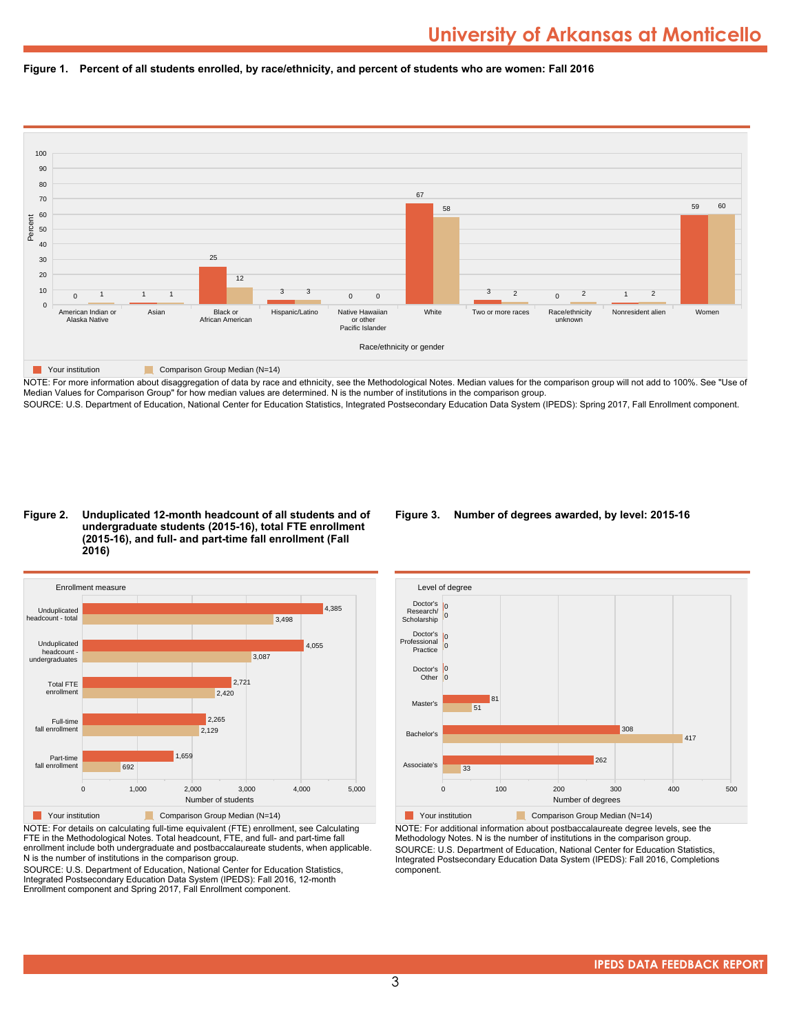



NOTE: For more information about disaggregation of data by race and ethnicity, see the Methodological Notes. Median values for the comparison group will not add to 100%. See "Use of Median Values for Comparison Group" for how median values are determined. N is the number of institutions in the comparison group. SOURCE: U.S. Department of Education, National Center for Education Statistics, Integrated Postsecondary Education Data System (IPEDS): Spring 2017, Fall Enrollment component.

#### **Figure 2. Unduplicated 12-month headcount of all students and of undergraduate students (2015-16), total FTE enrollment (2015-16), and full- and part-time fall enrollment (Fall 2016)**



NOTE: For details on calculating full-time equivalent (FTE) enrollment, see Calculating FTE in the Methodological Notes. Total headcount, FTE, and full- and part-time fall enrollment include both undergraduate and postbaccalaureate students, when applicable. N is the number of institutions in the comparison group.

SOURCE: U.S. Department of Education, National Center for Education Statistics, Integrated Postsecondary Education Data System (IPEDS): Fall 2016, 12-month Enrollment component and Spring 2017, Fall Enrollment component.

#### **Figure 3. Number of degrees awarded, by level: 2015-16**



NOTE: For additional information about postbaccalaureate degree levels, see the Methodology Notes. N is the number of institutions in the comparison group. SOURCE: U.S. Department of Education, National Center for Education Statistics, Integrated Postsecondary Education Data System (IPEDS): Fall 2016, Completions component.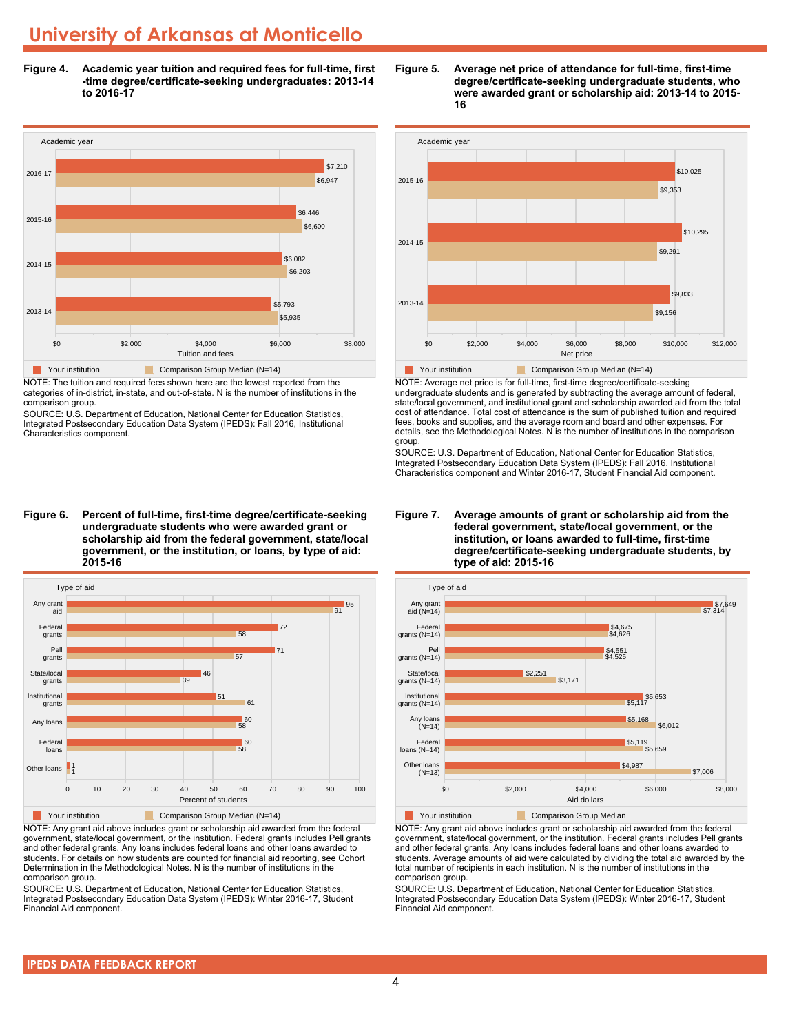**Figure 4. Academic year tuition and required fees for full-time, first -time degree/certificate-seeking undergraduates: 2013-14 to 2016-17**



NOTE: The tuition and required fees shown here are the lowest reported from the categories of in-district, in-state, and out-of-state. N is the number of institutions in the comparison group.

SOURCE: U.S. Department of Education, National Center for Education Statistics, Integrated Postsecondary Education Data System (IPEDS): Fall 2016, Institutional Characteristics component.

**Figure 6. Percent of full-time, first-time degree/certificate-seeking undergraduate students who were awarded grant or scholarship aid from the federal government, state/local government, or the institution, or loans, by type of aid: 2015-16**



NOTE: Any grant aid above includes grant or scholarship aid awarded from the federal government, state/local government, or the institution. Federal grants includes Pell grants and other federal grants. Any loans includes federal loans and other loans awarded to students. For details on how students are counted for financial aid reporting, see Cohort Determination in the Methodological Notes. N is the number of institutions in the comparison group.

SOURCE: U.S. Department of Education, National Center for Education Statistics, Integrated Postsecondary Education Data System (IPEDS): Winter 2016-17, Student Financial Aid component.





NOTE: Average net price is for full-time, first-time degree/certificate-seeking undergraduate students and is generated by subtracting the average amount of federal, state/local government, and institutional grant and scholarship awarded aid from the total cost of attendance. Total cost of attendance is the sum of published tuition and required fees, books and supplies, and the average room and board and other expenses. For details, see the Methodological Notes. N is the number of institutions in the comparison group.

SOURCE: U.S. Department of Education, National Center for Education Statistics, Integrated Postsecondary Education Data System (IPEDS): Fall 2016, Institutional Characteristics component and Winter 2016-17, Student Financial Aid component.





**The Comparison Group Median**<br> **Comparison Group Median** 

NOTE: Any grant aid above includes grant or scholarship aid awarded from the federal government, state/local government, or the institution. Federal grants includes Pell grants and other federal grants. Any loans includes federal loans and other loans awarded to students. Average amounts of aid were calculated by dividing the total aid awarded by the total number of recipients in each institution. N is the number of institutions in the comparison group.

SOURCE: U.S. Department of Education, National Center for Education Statistics, Integrated Postsecondary Education Data System (IPEDS): Winter 2016-17, Student Financial Aid component.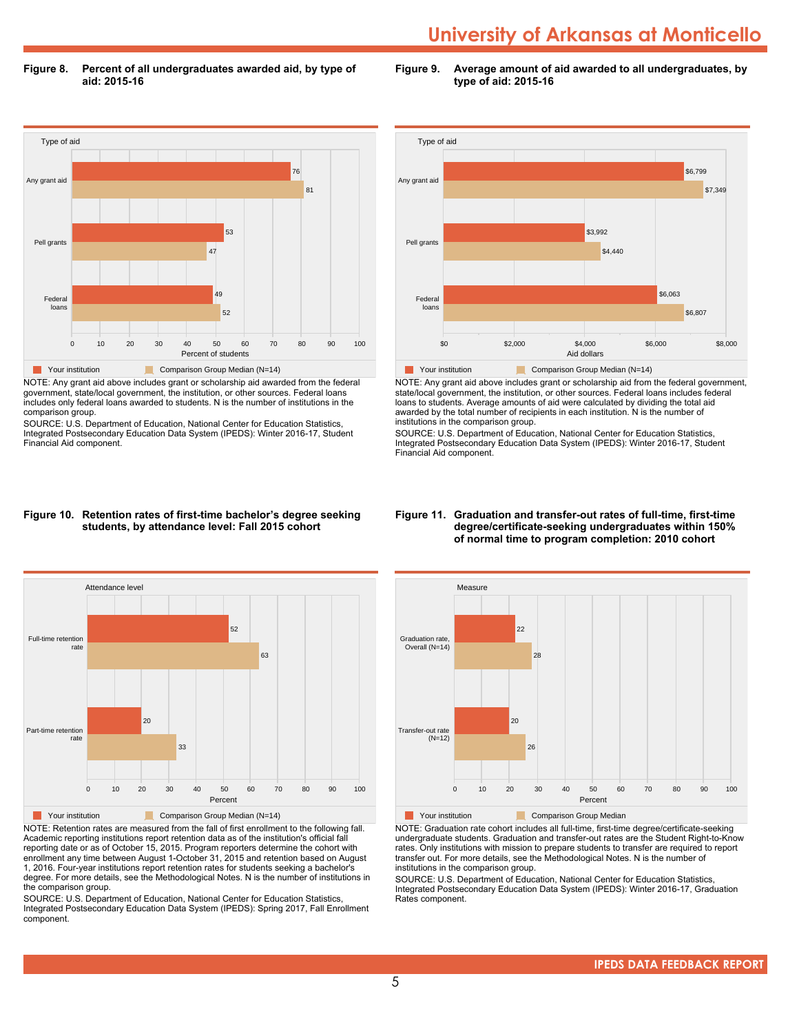**Figure 8. Percent of all undergraduates awarded aid, by type of aid: 2015-16**

**Figure 9. Average amount of aid awarded to all undergraduates, by type of aid: 2015-16**



NOTE: Any grant aid above includes grant or scholarship aid awarded from the federal government, state/local government, the institution, or other sources. Federal loans includes only federal loans awarded to students. N is the number of institutions in the comparison group.

SOURCE: U.S. Department of Education, National Center for Education Statistics, Integrated Postsecondary Education Data System (IPEDS): Winter 2016-17, Student Financial Aid component.



NOTE: Any grant aid above includes grant or scholarship aid from the federal government, state/local government, the institution, or other sources. Federal loans includes federal loans to students. Average amounts of aid were calculated by dividing the total aid awarded by the total number of recipients in each institution. N is the number of institutions in the comparison group.

SOURCE: U.S. Department of Education, National Center for Education Statistics, Integrated Postsecondary Education Data System (IPEDS): Winter 2016-17, Student Financial Aid component.

#### **Figure 10. Retention rates of first-time bachelor's degree seeking students, by attendance level: Fall 2015 cohort**



NOTE: Retention rates are measured from the fall of first enrollment to the following fall. Academic reporting institutions report retention data as of the institution's official fall reporting date or as of October 15, 2015. Program reporters determine the cohort with enrollment any time between August 1-October 31, 2015 and retention based on August 1, 2016. Four-year institutions report retention rates for students seeking a bachelor's degree. For more details, see the Methodological Notes. N is the number of institutions in the comparison group.

SOURCE: U.S. Department of Education, National Center for Education Statistics, Integrated Postsecondary Education Data System (IPEDS): Spring 2017, Fall Enrollment component.

#### **Figure 11. Graduation and transfer-out rates of full-time, first-time degree/certificate-seeking undergraduates within 150% of normal time to program completion: 2010 cohort**



NOTE: Graduation rate cohort includes all full-time, first-time degree/certificate-seeking undergraduate students. Graduation and transfer-out rates are the Student Right-to-Know rates. Only institutions with mission to prepare students to transfer are required to report transfer out. For more details, see the Methodological Notes. N is the number of institutions in the comparison group.

SOURCE: U.S. Department of Education, National Center for Education Statistics, Integrated Postsecondary Education Data System (IPEDS): Winter 2016-17, Graduation Rates component.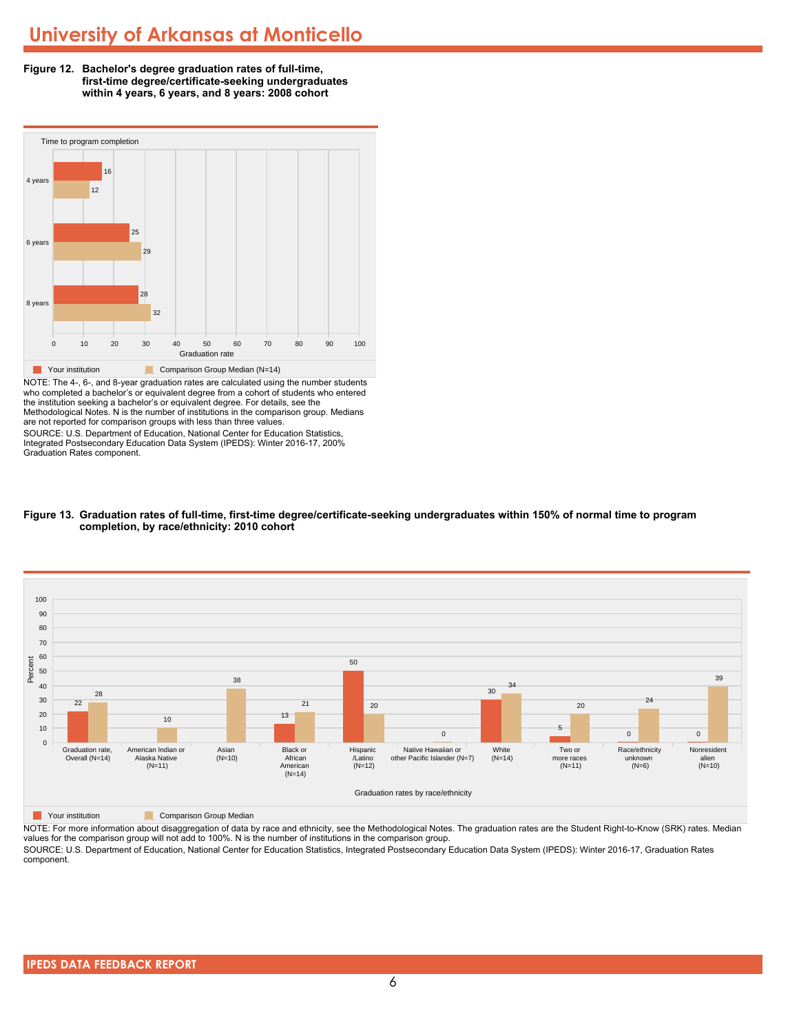



NOTE: The 4-, 6-, and 8-year graduation rates are calculated using the number students who completed a bachelor's or equivalent degree from a cohort of students who entered the institution seeking a bachelor's or equivalent degree. For details, see the Methodological Notes. N is the number of institutions in the comparison group. Medians are not reported for comparison groups with less than three values. SOURCE: U.S. Department of Education, National Center for Education Statistics,

Integrated Postsecondary Education Data System (IPEDS): Winter 2016-17, 200% Graduation Rates component.





**The Comparison Group Median**<br> **Comparison Group Median** 

NOTE: For more information about disaggregation of data by race and ethnicity, see the Methodological Notes. The graduation rates are the Student Right-to-Know (SRK) rates. Median values for the comparison group will not add to 100%. N is the number of institutions in the comparison group. SOURCE: U.S. Department of Education, National Center for Education Statistics, Integrated Postsecondary Education Data System (IPEDS): Winter 2016-17, Graduation Rates

component.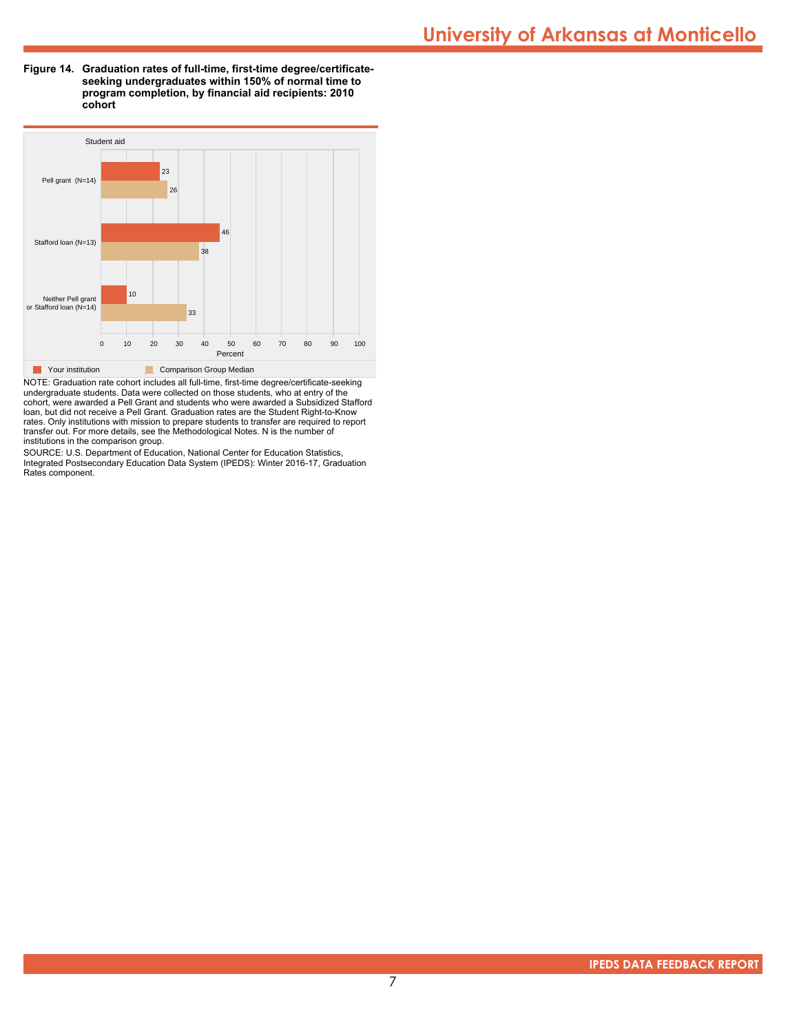**Figure 14. Graduation rates of full-time, first-time degree/certificateseeking undergraduates within 150% of normal time to program completion, by financial aid recipients: 2010 cohort**



NOTE: Graduation rate cohort includes all full-time, first-time degree/certificate-seeking undergraduate students. Data were collected on those students, who at entry of the cohort, were awarded a Pell Grant and students who were awarded a Subsidized Stafford loan, but did not receive a Pell Grant. Graduation rates are the Student Right-to-Know rates. Only institutions with mission to prepare students to transfer are required to report transfer out. For more details, see the Methodological Notes. N is the number of institutions in the comparison group.

SOURCE: U.S. Department of Education, National Center for Education Statistics, Integrated Postsecondary Education Data System (IPEDS): Winter 2016-17, Graduation Rates component.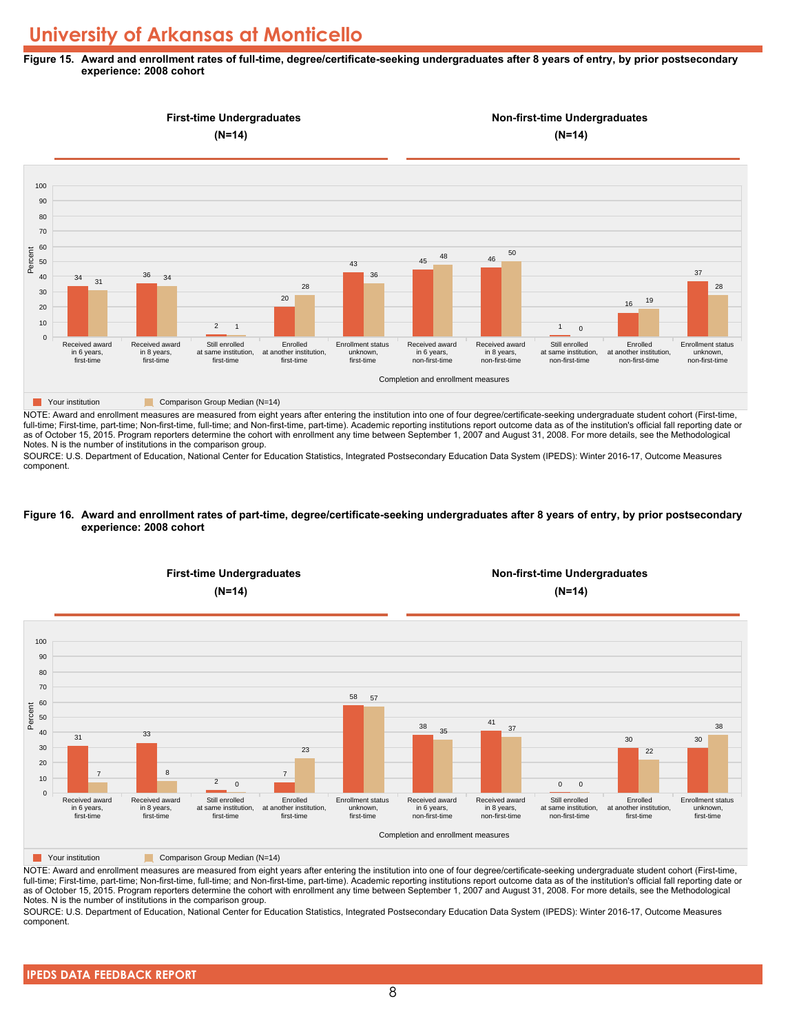#### **Figure 15. Award and enrollment rates of full-time, degree/certificate-seeking undergraduates after 8 years of entry, by prior postsecondary experience: 2008 cohort**



NOTE: Award and enrollment measures are measured from eight years after entering the institution into one of four degree/certificate-seeking undergraduate student cohort (First-time, full-time; First-time, part-time; Non-first-time, full-time; and Non-first-time, part-time). Academic reporting institutions report outcome data as of the institution's official fall reporting date or as of October 15, 2015. Program reporters determine the cohort with enrollment any time between September 1, 2007 and August 31, 2008. For more details, see the Methodological Notes. N is the number of institutions in the comparison group.

SOURCE: U.S. Department of Education, National Center for Education Statistics, Integrated Postsecondary Education Data System (IPEDS): Winter 2016-17, Outcome Measures component.

#### **Figure 16. Award and enrollment rates of part-time, degree/certificate-seeking undergraduates after 8 years of entry, by prior postsecondary experience: 2008 cohort**



NOTE: Award and enrollment measures are measured from eight years after entering the institution into one of four degree/certificate-seeking undergraduate student cohort (First-time, full-time; First-time, part-time; Non-first-time, full-time; and Non-first-time, part-time). Academic reporting institutions report outcome data as of the institution's official fall reporting date or as of October 15, 2015. Program reporters determine the cohort with enrollment any time between September 1, 2007 and August 31, 2008. For more details, see the Methodological Notes. N is the number of institutions in the comparison group.

SOURCE: U.S. Department of Education, National Center for Education Statistics, Integrated Postsecondary Education Data System (IPEDS): Winter 2016-17, Outcome Measures component.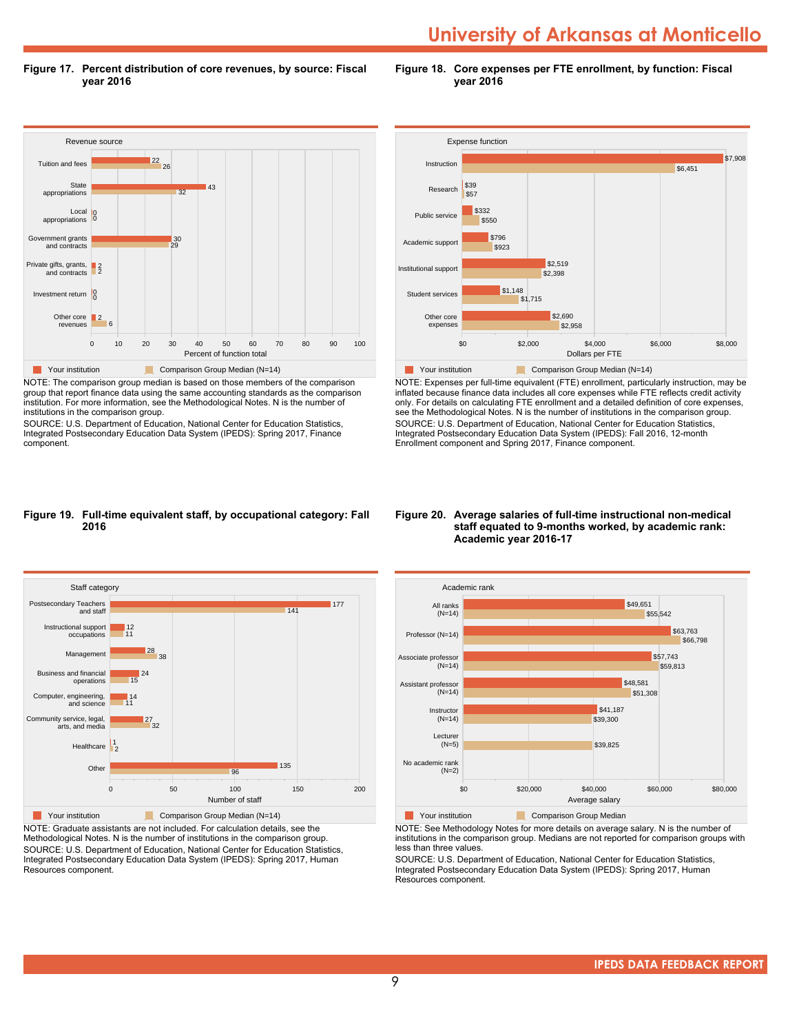**Figure 17. Percent distribution of core revenues, by source: Fiscal year 2016**

**Figure 18. Core expenses per FTE enrollment, by function: Fiscal year 2016**



NOTE: The comparison group median is based on those members of the comparison group that report finance data using the same accounting standards as the comparison institution. For more information, see the Methodological Notes. N is the number of institutions in the comparison group.

SOURCE: U.S. Department of Education, National Center for Education Statistics, Integrated Postsecondary Education Data System (IPEDS): Spring 2017, Finance component.



NOTE: Expenses per full-time equivalent (FTE) enrollment, particularly instruction, may be inflated because finance data includes all core expenses while FTE reflects credit activity only. For details on calculating FTE enrollment and a detailed definition of core expenses, see the Methodological Notes. N is the number of institutions in the comparison group. SOURCE: U.S. Department of Education, National Center for Education Statistics, Integrated Postsecondary Education Data System (IPEDS): Fall 2016, 12-month Enrollment component and Spring 2017, Finance component.

#### **Figure 19. Full-time equivalent staff, by occupational category: Fall 2016**



NOTE: Graduate assistants are not included. For calculation details, see the Methodological Notes. N is the number of institutions in the comparison group. SOURCE: U.S. Department of Education, National Center for Education Statistics, Integrated Postsecondary Education Data System (IPEDS): Spring 2017, Human Resources component.

#### **Figure 20. Average salaries of full-time instructional non-medical staff equated to 9-months worked, by academic rank: Academic year 2016-17**



NOTE: See Methodology Notes for more details on average salary. N is the number of institutions in the comparison group. Medians are not reported for comparison groups with less than three values.

SOURCE: U.S. Department of Education, National Center for Education Statistics, Integrated Postsecondary Education Data System (IPEDS): Spring 2017, Human Resources component.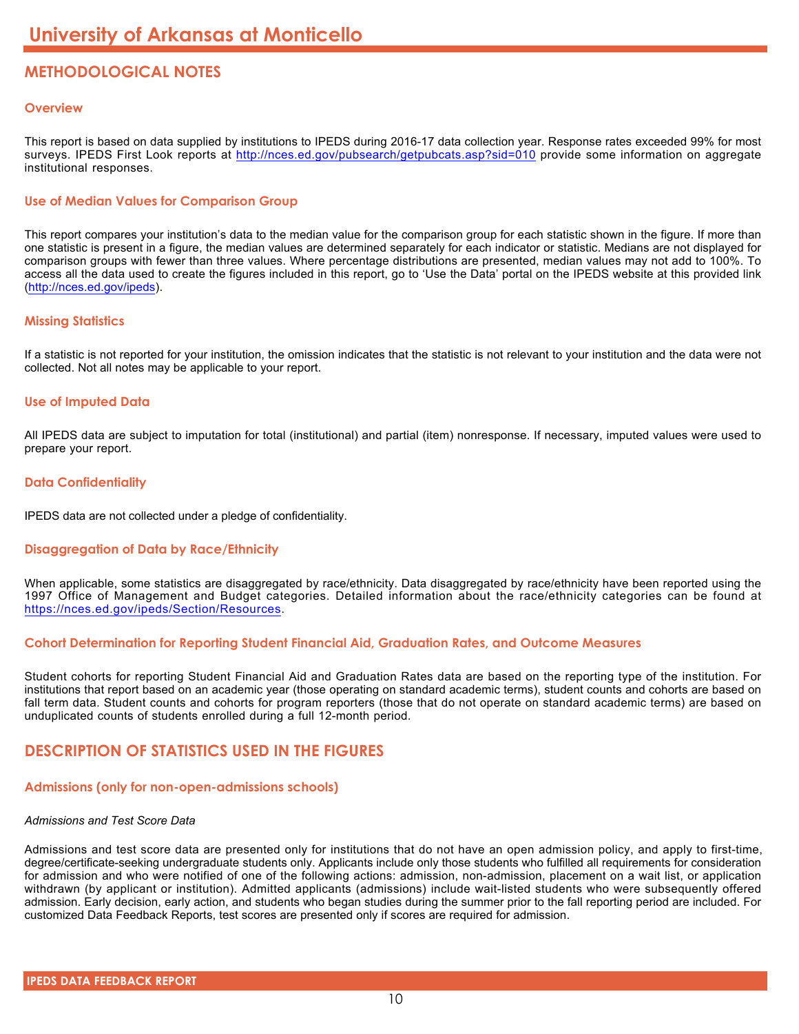# **METHODOLOGICAL NOTES**

#### **Overview**

This report is based on data supplied by institutions to IPEDS during 2016-17 data collection year. Response rates exceeded 99% for most surveys. IPEDS First Look reports at <http://nces.ed.gov/pubsearch/getpubcats.asp?sid=010> provide some information on aggregate institutional responses.

#### **Use of Median Values for Comparison Group**

This report compares your institution's data to the median value for the comparison group for each statistic shown in the figure. If more than one statistic is present in a figure, the median values are determined separately for each indicator or statistic. Medians are not displayed for comparison groups with fewer than three values. Where percentage distributions are presented, median values may not add to 100%. To access all the data used to create the figures included in this report, go to 'Use the Data' portal on the IPEDS website at this provided link (<http://nces.ed.gov/ipeds>).

#### **Missing Statistics**

If a statistic is not reported for your institution, the omission indicates that the statistic is not relevant to your institution and the data were not collected. Not all notes may be applicable to your report.

#### **Use of Imputed Data**

All IPEDS data are subject to imputation for total (institutional) and partial (item) nonresponse. If necessary, imputed values were used to prepare your report.

#### **Data Confidentiality**

IPEDS data are not collected under a pledge of confidentiality.

#### **Disaggregation of Data by Race/Ethnicity**

When applicable, some statistics are disaggregated by race/ethnicity. Data disaggregated by race/ethnicity have been reported using the 1997 Office of Management and Budget categories. Detailed information about the race/ethnicity categories can be found at <https://nces.ed.gov/ipeds/Section/Resources>.

#### **Cohort Determination for Reporting Student Financial Aid, Graduation Rates, and Outcome Measures**

Student cohorts for reporting Student Financial Aid and Graduation Rates data are based on the reporting type of the institution. For institutions that report based on an academic year (those operating on standard academic terms), student counts and cohorts are based on fall term data. Student counts and cohorts for program reporters (those that do not operate on standard academic terms) are based on unduplicated counts of students enrolled during a full 12-month period.

### **DESCRIPTION OF STATISTICS USED IN THE FIGURES**

#### **Admissions (only for non-open-admissions schools)**

#### *Admissions and Test Score Data*

Admissions and test score data are presented only for institutions that do not have an open admission policy, and apply to first-time, degree/certificate-seeking undergraduate students only. Applicants include only those students who fulfilled all requirements for consideration for admission and who were notified of one of the following actions: admission, non-admission, placement on a wait list, or application withdrawn (by applicant or institution). Admitted applicants (admissions) include wait-listed students who were subsequently offered admission. Early decision, early action, and students who began studies during the summer prior to the fall reporting period are included. For customized Data Feedback Reports, test scores are presented only if scores are required for admission.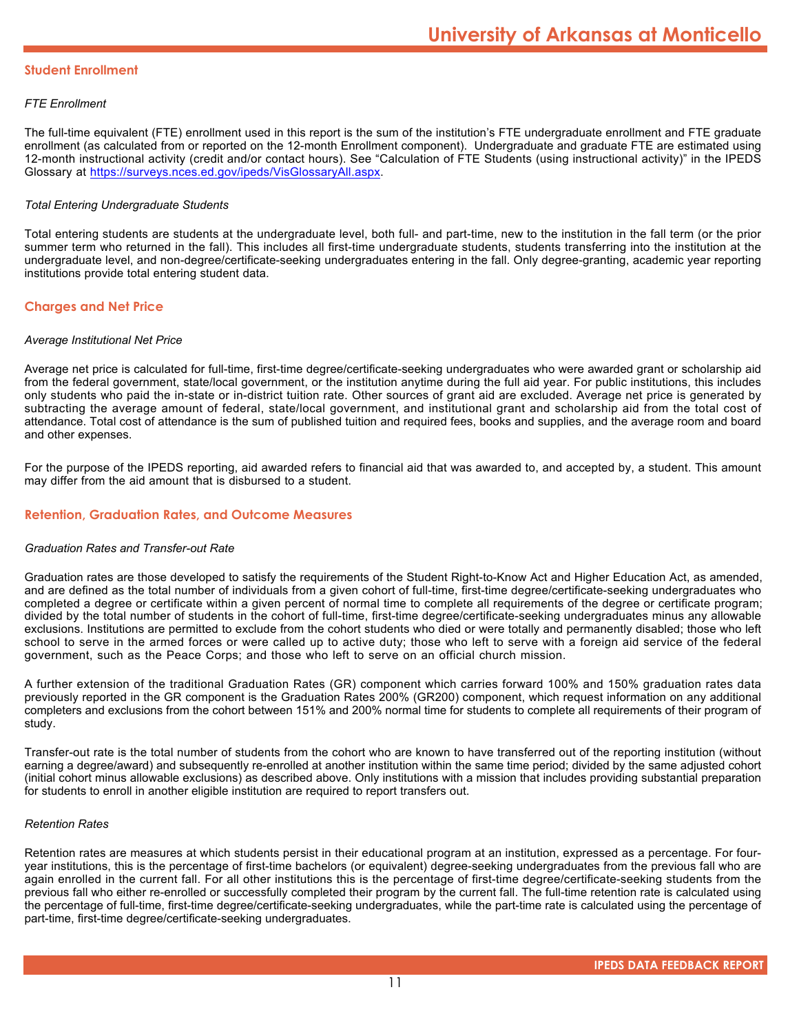#### **Student Enrollment**

#### *FTE Enrollment*

The full-time equivalent (FTE) enrollment used in this report is the sum of the institution's FTE undergraduate enrollment and FTE graduate enrollment (as calculated from or reported on the 12-month Enrollment component). Undergraduate and graduate FTE are estimated using 12-month instructional activity (credit and/or contact hours). See "Calculation of FTE Students (using instructional activity)" in the IPEDS Glossary at <https://surveys.nces.ed.gov/ipeds/VisGlossaryAll.aspx>.

#### *Total Entering Undergraduate Students*

Total entering students are students at the undergraduate level, both full- and part-time, new to the institution in the fall term (or the prior summer term who returned in the fall). This includes all first-time undergraduate students, students transferring into the institution at the undergraduate level, and non-degree/certificate-seeking undergraduates entering in the fall. Only degree-granting, academic year reporting institutions provide total entering student data.

#### **Charges and Net Price**

#### *Average Institutional Net Price*

Average net price is calculated for full-time, first-time degree/certificate-seeking undergraduates who were awarded grant or scholarship aid from the federal government, state/local government, or the institution anytime during the full aid year. For public institutions, this includes only students who paid the in-state or in-district tuition rate. Other sources of grant aid are excluded. Average net price is generated by subtracting the average amount of federal, state/local government, and institutional grant and scholarship aid from the total cost of attendance. Total cost of attendance is the sum of published tuition and required fees, books and supplies, and the average room and board and other expenses.

For the purpose of the IPEDS reporting, aid awarded refers to financial aid that was awarded to, and accepted by, a student. This amount may differ from the aid amount that is disbursed to a student.

#### **Retention, Graduation Rates, and Outcome Measures**

#### *Graduation Rates and Transfer-out Rate*

Graduation rates are those developed to satisfy the requirements of the Student Right-to-Know Act and Higher Education Act, as amended, and are defined as the total number of individuals from a given cohort of full-time, first-time degree/certificate-seeking undergraduates who completed a degree or certificate within a given percent of normal time to complete all requirements of the degree or certificate program; divided by the total number of students in the cohort of full-time, first-time degree/certificate-seeking undergraduates minus any allowable exclusions. Institutions are permitted to exclude from the cohort students who died or were totally and permanently disabled; those who left school to serve in the armed forces or were called up to active duty; those who left to serve with a foreign aid service of the federal government, such as the Peace Corps; and those who left to serve on an official church mission.

A further extension of the traditional Graduation Rates (GR) component which carries forward 100% and 150% graduation rates data previously reported in the GR component is the Graduation Rates 200% (GR200) component, which request information on any additional completers and exclusions from the cohort between 151% and 200% normal time for students to complete all requirements of their program of study.

Transfer-out rate is the total number of students from the cohort who are known to have transferred out of the reporting institution (without earning a degree/award) and subsequently re-enrolled at another institution within the same time period; divided by the same adjusted cohort (initial cohort minus allowable exclusions) as described above. Only institutions with a mission that includes providing substantial preparation for students to enroll in another eligible institution are required to report transfers out.

#### *Retention Rates*

Retention rates are measures at which students persist in their educational program at an institution, expressed as a percentage. For fouryear institutions, this is the percentage of first-time bachelors (or equivalent) degree-seeking undergraduates from the previous fall who are again enrolled in the current fall. For all other institutions this is the percentage of first-time degree/certificate-seeking students from the previous fall who either re-enrolled or successfully completed their program by the current fall. The full-time retention rate is calculated using the percentage of full-time, first-time degree/certificate-seeking undergraduates, while the part-time rate is calculated using the percentage of part-time, first-time degree/certificate-seeking undergraduates.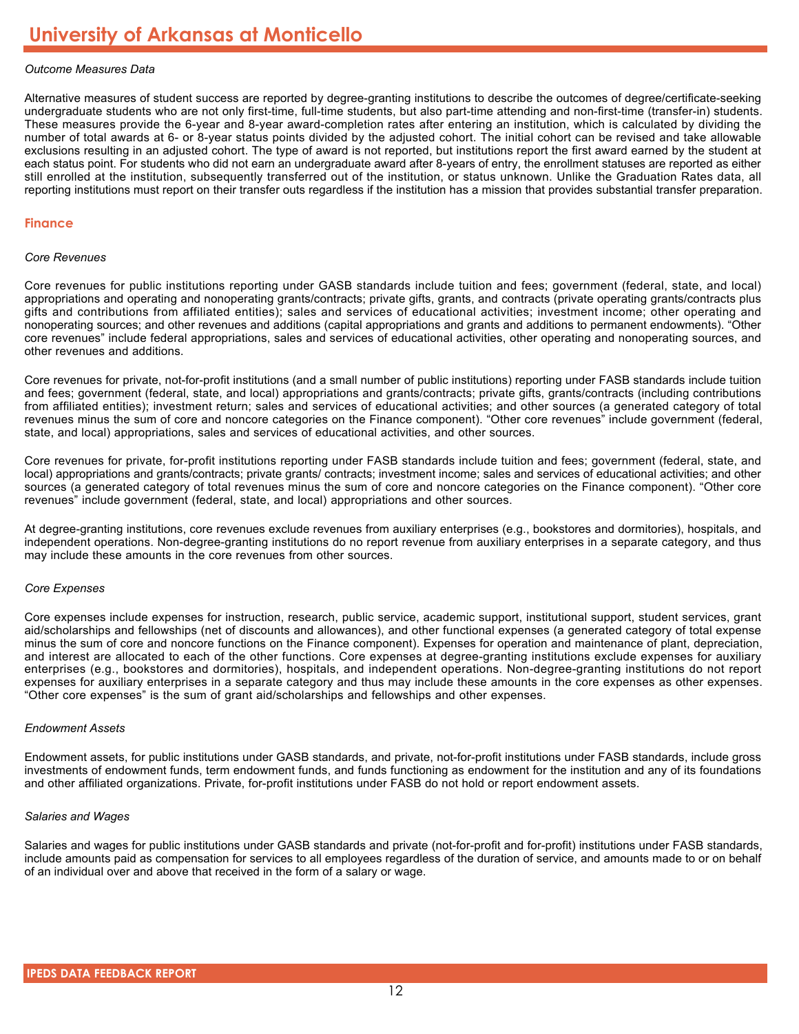#### *Outcome Measures Data*

Alternative measures of student success are reported by degree-granting institutions to describe the outcomes of degree/certificate-seeking undergraduate students who are not only first-time, full-time students, but also part-time attending and non-first-time (transfer-in) students. These measures provide the 6-year and 8-year award-completion rates after entering an institution, which is calculated by dividing the number of total awards at 6- or 8-year status points divided by the adjusted cohort. The initial cohort can be revised and take allowable exclusions resulting in an adjusted cohort. The type of award is not reported, but institutions report the first award earned by the student at each status point. For students who did not earn an undergraduate award after 8-years of entry, the enrollment statuses are reported as either still enrolled at the institution, subsequently transferred out of the institution, or status unknown. Unlike the Graduation Rates data, all reporting institutions must report on their transfer outs regardless if the institution has a mission that provides substantial transfer preparation.

#### **Finance**

#### *Core Revenues*

Core revenues for public institutions reporting under GASB standards include tuition and fees; government (federal, state, and local) appropriations and operating and nonoperating grants/contracts; private gifts, grants, and contracts (private operating grants/contracts plus gifts and contributions from affiliated entities); sales and services of educational activities; investment income; other operating and nonoperating sources; and other revenues and additions (capital appropriations and grants and additions to permanent endowments). "Other core revenues" include federal appropriations, sales and services of educational activities, other operating and nonoperating sources, and other revenues and additions.

Core revenues for private, not-for-profit institutions (and a small number of public institutions) reporting under FASB standards include tuition and fees; government (federal, state, and local) appropriations and grants/contracts; private gifts, grants/contracts (including contributions from affiliated entities); investment return; sales and services of educational activities; and other sources (a generated category of total revenues minus the sum of core and noncore categories on the Finance component). "Other core revenues" include government (federal, state, and local) appropriations, sales and services of educational activities, and other sources.

Core revenues for private, for-profit institutions reporting under FASB standards include tuition and fees; government (federal, state, and local) appropriations and grants/contracts; private grants/ contracts; investment income; sales and services of educational activities; and other sources (a generated category of total revenues minus the sum of core and noncore categories on the Finance component). "Other core revenues" include government (federal, state, and local) appropriations and other sources.

At degree-granting institutions, core revenues exclude revenues from auxiliary enterprises (e.g., bookstores and dormitories), hospitals, and independent operations. Non-degree-granting institutions do no report revenue from auxiliary enterprises in a separate category, and thus may include these amounts in the core revenues from other sources.

#### *Core Expenses*

Core expenses include expenses for instruction, research, public service, academic support, institutional support, student services, grant aid/scholarships and fellowships (net of discounts and allowances), and other functional expenses (a generated category of total expense minus the sum of core and noncore functions on the Finance component). Expenses for operation and maintenance of plant, depreciation, and interest are allocated to each of the other functions. Core expenses at degree-granting institutions exclude expenses for auxiliary enterprises (e.g., bookstores and dormitories), hospitals, and independent operations. Non-degree-granting institutions do not report expenses for auxiliary enterprises in a separate category and thus may include these amounts in the core expenses as other expenses. "Other core expenses" is the sum of grant aid/scholarships and fellowships and other expenses.

#### *Endowment Assets*

Endowment assets, for public institutions under GASB standards, and private, not-for-profit institutions under FASB standards, include gross investments of endowment funds, term endowment funds, and funds functioning as endowment for the institution and any of its foundations and other affiliated organizations. Private, for-profit institutions under FASB do not hold or report endowment assets.

#### *Salaries and Wages*

Salaries and wages for public institutions under GASB standards and private (not-for-profit and for-profit) institutions under FASB standards, include amounts paid as compensation for services to all employees regardless of the duration of service, and amounts made to or on behalf of an individual over and above that received in the form of a salary or wage.